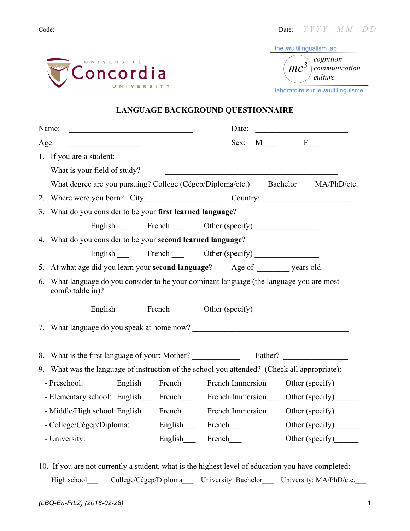

| the <i>multilingualism</i> lab                  |
|-------------------------------------------------|
| cognition<br>$mc^3$<br>communication<br>culture |

laboratoire sur le *m*ultilinguisme

#### **LANGUAGE BACKGROUND QUESTIONNAIRE**

|      | Name:                                                                                                        | Date:                                                        | <u> 1980 - Johann Barn, fransk politik (</u> |                       |  |  |  |  |  |  |
|------|--------------------------------------------------------------------------------------------------------------|--------------------------------------------------------------|----------------------------------------------|-----------------------|--|--|--|--|--|--|
| Age: | <u> 1999 - John Stein, Amerikaansk politiker (</u>                                                           |                                                              |                                              | Sex: $M \t F$         |  |  |  |  |  |  |
|      | 1. If you are a student:                                                                                     |                                                              |                                              |                       |  |  |  |  |  |  |
|      | What is your field of study?                                                                                 | <u> 1980 - Johann Barn, margaret eta idazlear (h. 1980).</u> |                                              |                       |  |  |  |  |  |  |
|      | What degree are you pursuing? College (Cégep/Diploma/etc.) Bachelor MA/PhD/etc.                              |                                                              |                                              |                       |  |  |  |  |  |  |
|      |                                                                                                              | 2. Where were you born? City: Country: Country:              |                                              |                       |  |  |  |  |  |  |
|      | 3. What do you consider to be your first learned language?                                                   |                                                              |                                              |                       |  |  |  |  |  |  |
|      | English French Other (specify)                                                                               |                                                              |                                              |                       |  |  |  |  |  |  |
|      | 4. What do you consider to be your second learned language?                                                  |                                                              |                                              |                       |  |  |  |  |  |  |
|      | English French Other (specify)                                                                               |                                                              |                                              |                       |  |  |  |  |  |  |
|      | 5. At what age did you learn your <b>second language</b> ? Age of _______ years old                          |                                                              |                                              |                       |  |  |  |  |  |  |
|      | 6. What language do you consider to be your dominant language (the language you are most<br>comfortable in)? |                                                              |                                              |                       |  |  |  |  |  |  |
|      | English French Other (specify)                                                                               |                                                              |                                              |                       |  |  |  |  |  |  |
|      |                                                                                                              |                                                              |                                              |                       |  |  |  |  |  |  |
|      |                                                                                                              |                                                              |                                              |                       |  |  |  |  |  |  |
|      | 9. What was the language of instruction of the school you attended? (Check all appropriate):                 |                                                              |                                              |                       |  |  |  |  |  |  |
|      | - Preschool: English French French Immersion Other (specify)                                                 |                                                              |                                              |                       |  |  |  |  |  |  |
|      | - Elementary school: English French French Immersion Other (specify)                                         |                                                              |                                              |                       |  |  |  |  |  |  |
|      | - Middle/High school: English_____ French_________ French Immersion______ Other (specify)_______             |                                                              |                                              |                       |  |  |  |  |  |  |
|      | - College/Cégep/Diploma:                                                                                     | English French                                               |                                              | Other (specify)       |  |  |  |  |  |  |
|      | - University:                                                                                                | English <sub>____</sub> French___                            |                                              | Other (specify)______ |  |  |  |  |  |  |

10. If you are not currently a student, what is the highest level of education you have completed: High school College/Cégep/Diploma University: Bachelor University: MA/PhD/etc.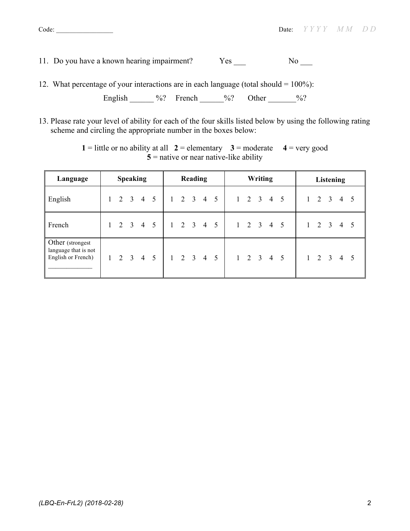- 11. Do you have a known hearing impairment? Yes No
- 12. What percentage of your interactions are in each language (total should = 100%):

```
English \frac{6}{3} French \frac{6}{3} Other \frac{6}{3}
```
13. Please rate your level of ability for each of the four skills listed below by using the following rating scheme and circling the appropriate number in the boxes below:

| Language                                                       | <b>Speaking</b> |       |  |                     | <b>Reading</b>  |                     |                     |  | <b>Writing</b> |                 |  |  |  | Listening |                     |  |              |   |                         |                     |  |
|----------------------------------------------------------------|-----------------|-------|--|---------------------|-----------------|---------------------|---------------------|--|----------------|-----------------|--|--|--|-----------|---------------------|--|--------------|---|-------------------------|---------------------|--|
| English                                                        |                 | 2 3 4 |  |                     | $5\overline{)}$ | $1 \t2 \t3 \t4 \t5$ |                     |  |                |                 |  |  |  |           | $1 \t2 \t3 \t4 \t5$ |  | $\mathbf{1}$ | 2 | $\overline{\mathbf{3}}$ | 4 5                 |  |
| French                                                         |                 | 2 3   |  | $\overline{4}$      | 5               |                     | $1 \t2 \t3 \t4$     |  |                | $5\overline{)}$ |  |  |  |           | $1 \t2 \t3 \t4 \t5$ |  | 1            | 2 | 3                       | 4                   |  |
| Other (strongest<br>language that is not<br>English or French) |                 |       |  | $1 \t2 \t3 \t4 \t5$ |                 |                     | $1 \t2 \t3 \t4 \t5$ |  |                |                 |  |  |  |           | $1 \t2 \t3 \t4 \t5$ |  |              |   |                         | $1 \t2 \t3 \t4 \t5$ |  |

**1** = little or no ability at all  $2$  = elementary  $3$  = moderate  $4$  = very good  $\overline{5}$  = native or near native-like ability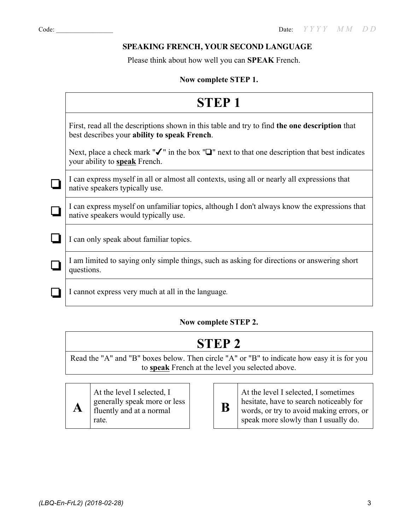#### **SPEAKING FRENCH, YOUR SECOND LANGUAGE**

Please think about how well you can **SPEAK** French.

#### **Now complete STEP 1.**

|        | <b>STEP1</b>                                                                                                                                      |
|--------|---------------------------------------------------------------------------------------------------------------------------------------------------|
|        | First, read all the descriptions shown in this table and try to find the one description that<br>best describes your ability to speak French.     |
|        | Next, place a check mark " $\checkmark$ " in the box " $\Box$ " next to that one description that best indicates<br>your ability to speak French. |
|        | I can express myself in all or almost all contexts, using all or nearly all expressions that<br>native speakers typically use.                    |
| $\Box$ | I can express myself on unfamiliar topics, although I don't always know the expressions that<br>native speakers would typically use.              |
|        | I can only speak about familiar topics.                                                                                                           |
|        | I am limited to saying only simple things, such as asking for directions or answering short<br>questions.                                         |
|        | I cannot express very much at all in the language.                                                                                                |

#### **Now complete STEP 2.**

### **STEP 2**

Read the "A" and "B" boxes below. Then circle "A" or "B" to indicate how easy it is for you to **speak** French at the level you selected above.



At the level I selected, I generally speak more or less fluently and at a normal rate*.*

# **B**

At the level I selected, I sometimes hesitate, have to search noticeably for words, or try to avoid making errors, or speak more slowly than I usually do.